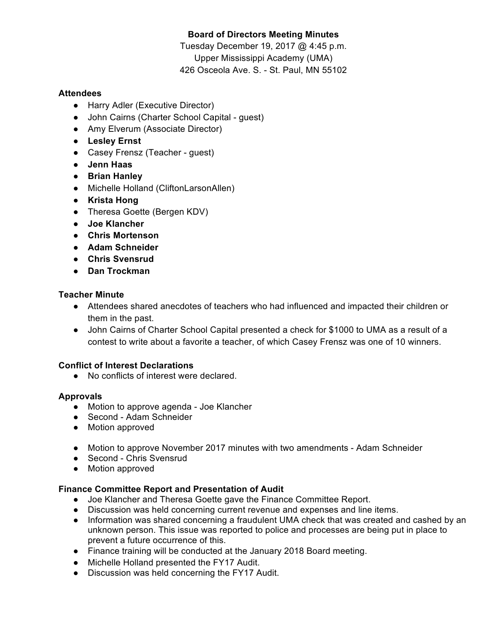# **Board of Directors Meeting Minutes**

Tuesday December 19, 2017 @ 4:45 p.m. Upper Mississippi Academy (UMA) 426 Osceola Ave. S. - St. Paul, MN 55102

### **Attendees**

- Harry Adler (Executive Director)
- John Cairns (Charter School Capital guest)
- Amy Elverum (Associate Director)
- **Lesley Ernst**
- Casey Frensz (Teacher quest)
- **Jenn Haas**
- **Brian Hanley**
- Michelle Holland (CliftonLarsonAllen)
- **Krista Hong**
- Theresa Goette (Bergen KDV)
- **Joe Klancher**
- **Chris Mortenson**
- **Adam Schneider**
- **Chris Svensrud**
- **Dan Trockman**

## **Teacher Minute**

- Attendees shared anecdotes of teachers who had influenced and impacted their children or them in the past.
- John Cairns of Charter School Capital presented a check for \$1000 to UMA as a result of a contest to write about a favorite a teacher, of which Casey Frensz was one of 10 winners.

### **Conflict of Interest Declarations**

● No conflicts of interest were declared.

# **Approvals**

- Motion to approve agenda Joe Klancher
- Second Adam Schneider
- Motion approved
- Motion to approve November 2017 minutes with two amendments Adam Schneider
- Second Chris Svensrud
- Motion approved

# **Finance Committee Report and Presentation of Audit**

- Joe Klancher and Theresa Goette gave the Finance Committee Report.
- Discussion was held concerning current revenue and expenses and line items.
- Information was shared concerning a fraudulent UMA check that was created and cashed by an unknown person. This issue was reported to police and processes are being put in place to prevent a future occurrence of this.
- Finance training will be conducted at the January 2018 Board meeting.
- Michelle Holland presented the FY17 Audit.
- Discussion was held concerning the FY17 Audit.